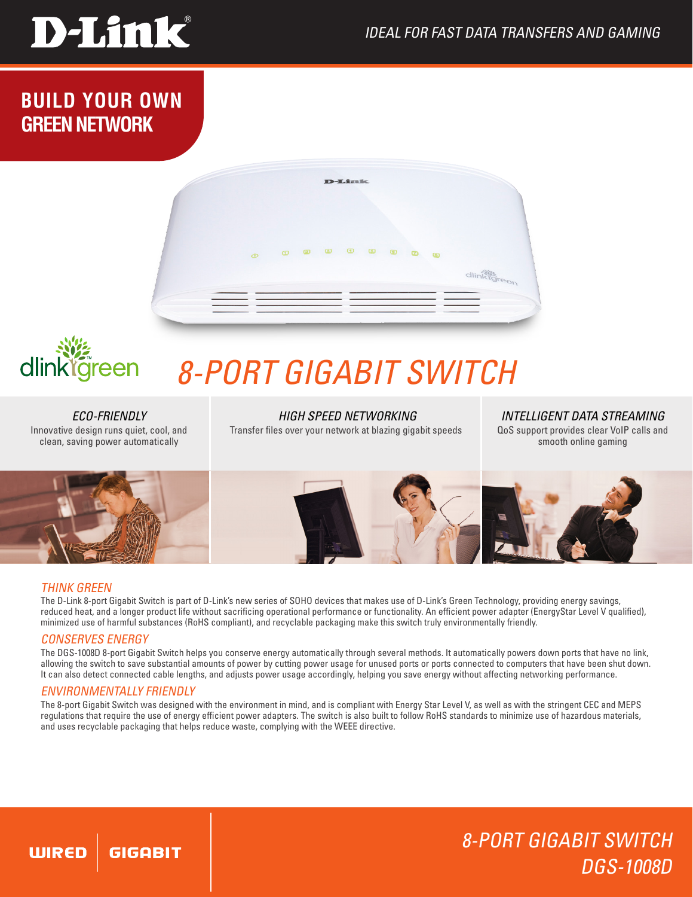

**BUILD YOUR OWN GREEN NETWORK**



# dlinklgreen

# *8-Port Gigabit Switch*

*ECO-FRIENDLY* Innovative design runs quiet, cool, and clean, saving power automatically

*HIGH SPEED NETWORKING* Transfer files over your network at blazing gigabit speeds

*INTELLIGENT DATA STREAMING* QoS support provides clear VoIP calls and smooth online gaming



# THINK GREEN

The D-Link 8-port Gigabit Switch is part of D-Link's new series of SOHO devices that makes use of D-Link's Green Technology, providing energy savings, reduced heat, and a longer product life without sacrificing operational performance or functionality. An efficient power adapter (EnergyStar Level V qualified), minimized use of harmful substances (RoHS compliant), and recyclable packaging make this switch truly environmentally friendly.

# CONSERVES ENERGY

The DGS-1008D 8-port Gigabit Switch helps you conserve energy automatically through several methods. It automatically powers down ports that have no link, allowing the switch to save substantial amounts of power by cutting power usage for unused ports or ports connected to computers that have been shut down. It can also detect connected cable lengths, and adjusts power usage accordingly, helping you save energy without affecting networking performance.

# ENVIRONMENTALLY FRIENDLY

The 8-port Gigabit Switch was designed with the environment in mind, and is compliant with Energy Star Level V, as well as with the stringent CEC and MEPS regulations that require the use of energy efficient power adapters. The switch is also built to follow RoHS standards to minimize use of hazardous materials, and uses recyclable packaging that helps reduce waste, complying with the WEEE directive.

# 8-Port Gigabit Switch DGS-1008D

#### **WIRED** GIGABIT